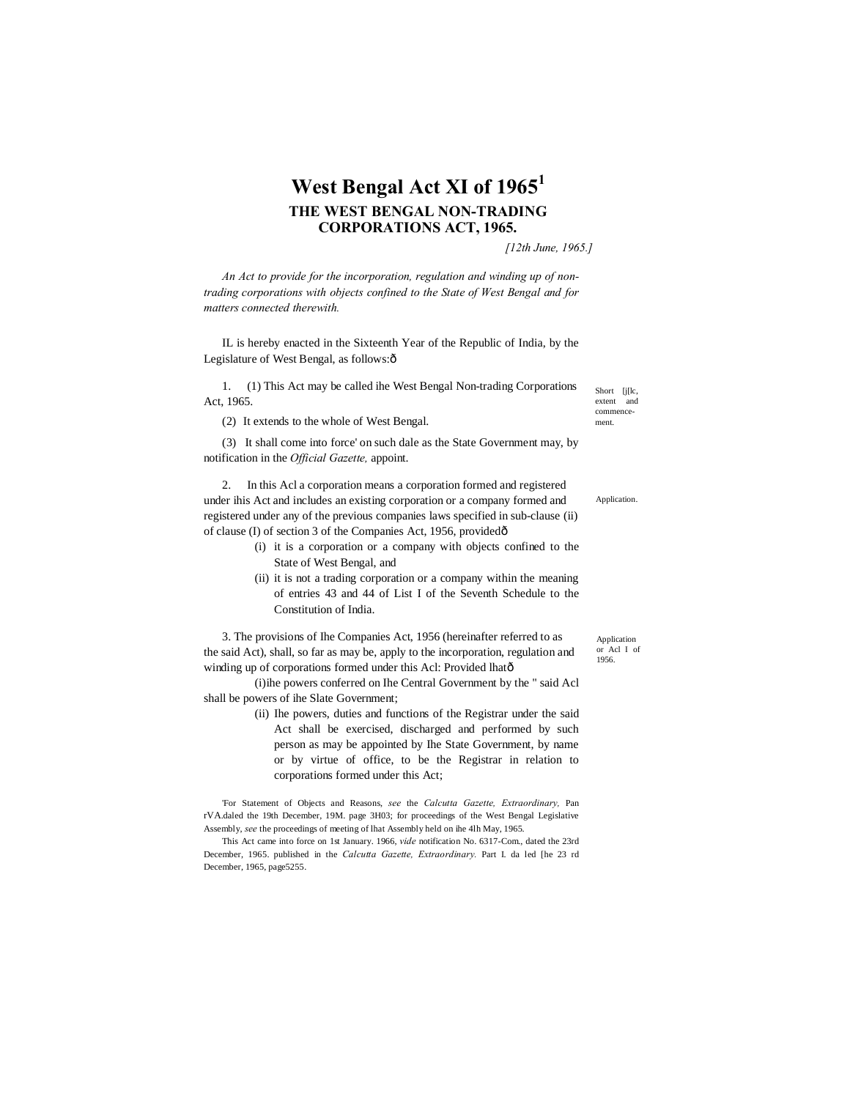## **West Bengal Act XI of 1965<sup>1</sup> THE WEST BENGAL NON-TRADING CORPORATIONS ACT, 1965.**

*[12th June, 1965.]*

*An Act to provide for the incorporation, regulation and winding up of nontrading corporations with objects confined to the State of West Bengal and for matters connected therewith.*

IL is hereby enacted in the Sixteenth Year of the Republic of India, by the Legislature of West Bengal, as follows: $\hat{o}$ 

1. (1) This Act may be called ihe West Bengal Non-trading Corporations Act, 1965.

(2) It extends to the whole of West Bengal.

(3) It shall come into force' on such dale as the State Government may, by notification in the *Official Gazette,* appoint.

2. In this Acl a corporation means a corporation formed and registered under ihis Act and includes an existing corporation or a company formed and registered under any of the previous companies laws specified in sub-clause (ii) of clause (I) of section 3 of the Companies Act, 1956, provided—

- (i) it is a corporation or a company with objects confined to the State of West Bengal, and
- (ii) it is not a trading corporation or a company within the meaning of entries 43 and 44 of List I of the Seventh Schedule to the Constitution of India.

3. The provisions of Ihe Companies Act, 1956 (hereinafter referred to as the said Act), shall, so far as may be, apply to the incorporation, regulation and winding up of corporations formed under this Acl: Provided lhatô

(i)ihe powers conferred on Ihe Central Government by the " said Acl shall be powers of ihe Slate Government;

> (ii) Ihe powers, duties and functions of the Registrar under the said Act shall be exercised, discharged and performed by such person as may be appointed by Ihe State Government, by name or by virtue of office, to be the Registrar in relation to corporations formed under this Act;

'For Statement of Objects and Reasons, *see* the *Calcutta Gazette, Extraordinary,* Pan rVA.daled the 19th December, 19M. page 3H03; for proceedings of the West Bengal Legislative Assembly, *see* the proceedings of meeting of lhat Assembly held on ihe 4lh May, 1965.

This Act came into force on 1st January. 1966, *vide* notification No. 6317-Com., dated the 23rd December, 1965. published in the *Calcutta Gazette, Extraordinary.* Part I. da led [he 23 rd December, 1965, page5255.

Short [j[lc,<br>extent and extent commencement.

Application.

Application or Acl I of 1956.